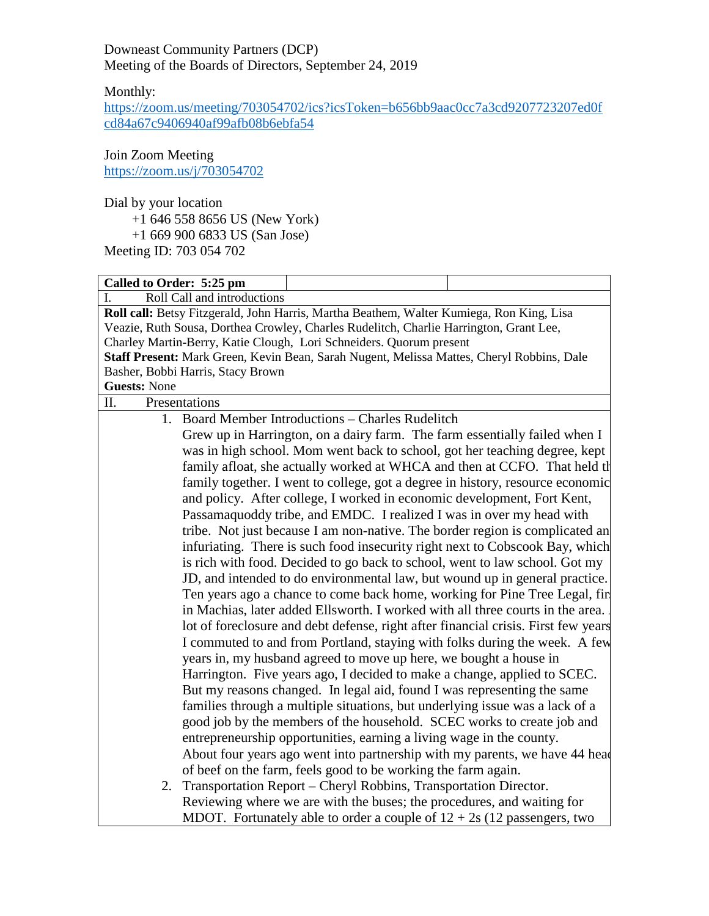Downeast Community Partners (DCP) Meeting of the Boards of Directors, September 24, 2019

Monthly:

[https://zoom.us/meeting/703054702/ics?icsToken=b656bb9aac0cc7a3cd9207723207ed0f](https://zoom.us/meeting/703054702/ics?icsToken=b656bb9aac0cc7a3cd9207723207ed0fcd84a67c9406940af99afb08b6ebfa54) [cd84a67c9406940af99afb08b6ebfa54](https://zoom.us/meeting/703054702/ics?icsToken=b656bb9aac0cc7a3cd9207723207ed0fcd84a67c9406940af99afb08b6ebfa54)

Join Zoom Meeting <https://zoom.us/j/703054702>

Dial by your location

+1 646 558 8656 US (New York)

+1 669 900 6833 US (San Jose)

Meeting ID: 703 054 702

| Called to Order: 5:25 pm                                                                  |  |  |  |  |
|-------------------------------------------------------------------------------------------|--|--|--|--|
| Roll Call and introductions<br>L                                                          |  |  |  |  |
| Roll call: Betsy Fitzgerald, John Harris, Martha Beathem, Walter Kumiega, Ron King, Lisa  |  |  |  |  |
| Veazie, Ruth Sousa, Dorthea Crowley, Charles Rudelitch, Charlie Harrington, Grant Lee,    |  |  |  |  |
| Charley Martin-Berry, Katie Clough, Lori Schneiders. Quorum present                       |  |  |  |  |
| Staff Present: Mark Green, Kevin Bean, Sarah Nugent, Melissa Mattes, Cheryl Robbins, Dale |  |  |  |  |
| Basher, Bobbi Harris, Stacy Brown                                                         |  |  |  |  |
| <b>Guests: None</b>                                                                       |  |  |  |  |
| Π.<br>Presentations                                                                       |  |  |  |  |
| 1. Board Member Introductions – Charles Rudelitch                                         |  |  |  |  |
| Grew up in Harrington, on a dairy farm. The farm essentially failed when I                |  |  |  |  |
| was in high school. Mom went back to school, got her teaching degree, kept                |  |  |  |  |
| family afloat, she actually worked at WHCA and then at CCFO. That held th                 |  |  |  |  |
| family together. I went to college, got a degree in history, resource economic            |  |  |  |  |
| and policy. After college, I worked in economic development, Fort Kent,                   |  |  |  |  |
| Passamaquoddy tribe, and EMDC. I realized I was in over my head with                      |  |  |  |  |
| tribe. Not just because I am non-native. The border region is complicated an              |  |  |  |  |
| infuriating. There is such food insecurity right next to Cobscook Bay, which              |  |  |  |  |
| is rich with food. Decided to go back to school, went to law school. Got my               |  |  |  |  |
| JD, and intended to do environmental law, but wound up in general practice.               |  |  |  |  |
| Ten years ago a chance to come back home, working for Pine Tree Legal, fir                |  |  |  |  |
| in Machias, later added Ellsworth. I worked with all three courts in the area.            |  |  |  |  |
| lot of foreclosure and debt defense, right after financial crisis. First few years        |  |  |  |  |
| I commuted to and from Portland, staying with folks during the week. A few                |  |  |  |  |
| years in, my husband agreed to move up here, we bought a house in                         |  |  |  |  |
| Harrington. Five years ago, I decided to make a change, applied to SCEC.                  |  |  |  |  |
| But my reasons changed. In legal aid, found I was representing the same                   |  |  |  |  |
| families through a multiple situations, but underlying issue was a lack of a              |  |  |  |  |
| good job by the members of the household. SCEC works to create job and                    |  |  |  |  |
| entrepreneurship opportunities, earning a living wage in the county.                      |  |  |  |  |
| About four years ago went into partnership with my parents, we have 44 head               |  |  |  |  |
| of beef on the farm, feels good to be working the farm again.                             |  |  |  |  |
| Transportation Report - Cheryl Robbins, Transportation Director.<br>2.                    |  |  |  |  |
| Reviewing where we are with the buses; the procedures, and waiting for                    |  |  |  |  |
| MDOT. Fortunately able to order a couple of $12 + 2s$ (12 passengers, two                 |  |  |  |  |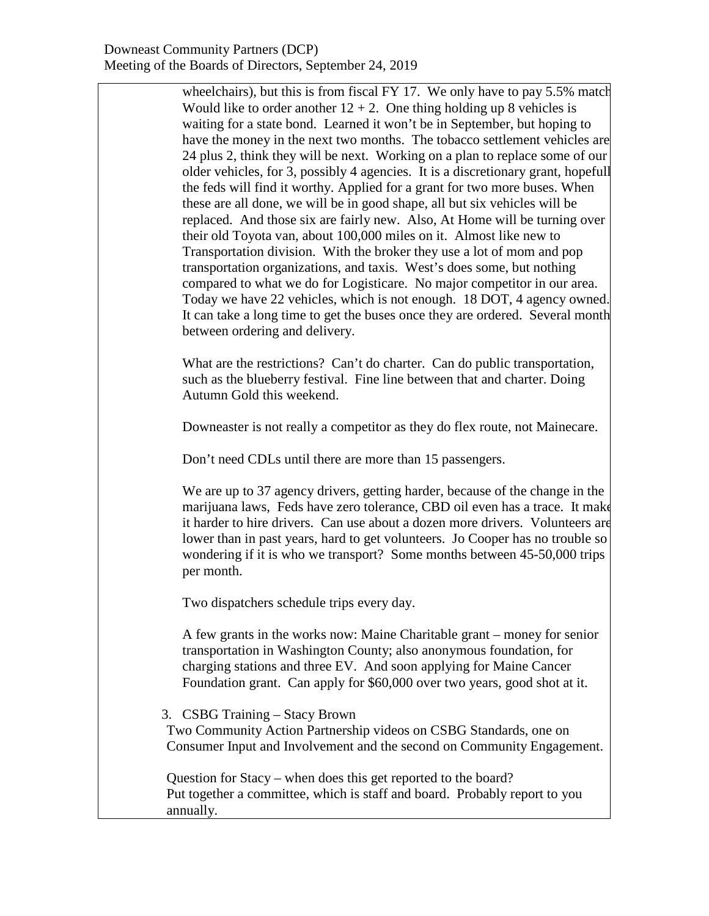wheelchairs), but this is from fiscal FY 17. We only have to pay 5.5% match Would like to order another  $12 + 2$ . One thing holding up 8 vehicles is waiting for a state bond. Learned it won't be in September, but hoping to have the money in the next two months. The tobacco settlement vehicles are 24 plus 2, think they will be next. Working on a plan to replace some of our older vehicles, for 3, possibly 4 agencies. It is a discretionary grant, hopefull the feds will find it worthy. Applied for a grant for two more buses. When these are all done, we will be in good shape, all but six vehicles will be replaced. And those six are fairly new. Also, At Home will be turning over their old Toyota van, about 100,000 miles on it. Almost like new to Transportation division. With the broker they use a lot of mom and pop transportation organizations, and taxis. West's does some, but nothing compared to what we do for Logisticare. No major competitor in our area. Today we have 22 vehicles, which is not enough. 18 DOT, 4 agency owned. It can take a long time to get the buses once they are ordered. Several month between ordering and delivery.

What are the restrictions? Can't do charter. Can do public transportation, such as the blueberry festival. Fine line between that and charter. Doing Autumn Gold this weekend.

Downeaster is not really a competitor as they do flex route, not Mainecare.

Don't need CDLs until there are more than 15 passengers.

We are up to 37 agency drivers, getting harder, because of the change in the marijuana laws, Feds have zero tolerance, CBD oil even has a trace. It make it harder to hire drivers. Can use about a dozen more drivers. Volunteers are lower than in past years, hard to get volunteers. Jo Cooper has no trouble so wondering if it is who we transport? Some months between 45-50,000 trips per month.

Two dispatchers schedule trips every day.

A few grants in the works now: Maine Charitable grant – money for senior transportation in Washington County; also anonymous foundation, for charging stations and three EV. And soon applying for Maine Cancer Foundation grant. Can apply for \$60,000 over two years, good shot at it.

3. CSBG Training – Stacy Brown

Two Community Action Partnership videos on CSBG Standards, one on Consumer Input and Involvement and the second on Community Engagement.

Question for Stacy – when does this get reported to the board? Put together a committee, which is staff and board. Probably report to you annually.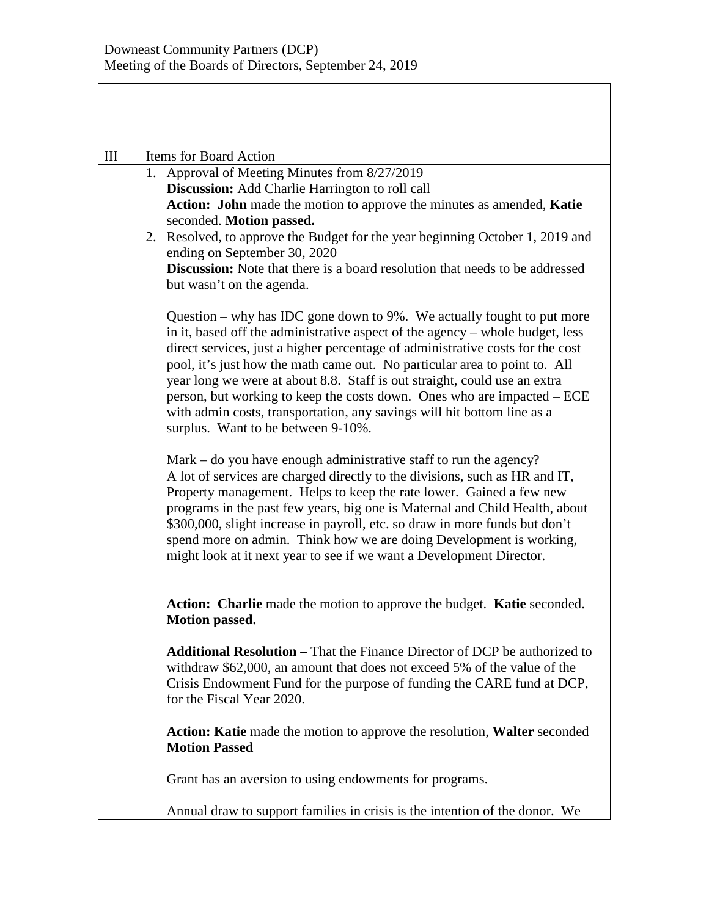| III | Items for Board Action                                                                                                                                                                                                                                                                                                                                                                                                                                                                                                                                                                               |
|-----|------------------------------------------------------------------------------------------------------------------------------------------------------------------------------------------------------------------------------------------------------------------------------------------------------------------------------------------------------------------------------------------------------------------------------------------------------------------------------------------------------------------------------------------------------------------------------------------------------|
|     | 1. Approval of Meeting Minutes from 8/27/2019<br>Discussion: Add Charlie Harrington to roll call<br>Action: John made the motion to approve the minutes as amended, Katie<br>seconded. Motion passed.<br>2. Resolved, to approve the Budget for the year beginning October 1, 2019 and<br>ending on September 30, 2020<br><b>Discussion:</b> Note that there is a board resolution that needs to be addressed<br>but wasn't on the agenda.                                                                                                                                                           |
|     | Question – why has IDC gone down to $9\%$ . We actually fought to put more<br>in it, based off the administrative aspect of the agency – whole budget, less<br>direct services, just a higher percentage of administrative costs for the cost<br>pool, it's just how the math came out. No particular area to point to. All<br>year long we were at about 8.8. Staff is out straight, could use an extra<br>person, but working to keep the costs down. Ones who are impacted – ECE<br>with admin costs, transportation, any savings will hit bottom line as a<br>surplus. Want to be between 9-10%. |
|     | Mark $-$ do you have enough administrative staff to run the agency?<br>A lot of services are charged directly to the divisions, such as HR and IT,<br>Property management. Helps to keep the rate lower. Gained a few new<br>programs in the past few years, big one is Maternal and Child Health, about<br>\$300,000, slight increase in payroll, etc. so draw in more funds but don't<br>spend more on admin. Think how we are doing Development is working,<br>might look at it next year to see if we want a Development Director.                                                               |
|     | Action: Charlie made the motion to approve the budget. Katie seconded.<br><b>Motion passed.</b>                                                                                                                                                                                                                                                                                                                                                                                                                                                                                                      |
|     | <b>Additional Resolution – That the Finance Director of DCP be authorized to</b><br>withdraw \$62,000, an amount that does not exceed 5% of the value of the<br>Crisis Endowment Fund for the purpose of funding the CARE fund at DCP,<br>for the Fiscal Year 2020.                                                                                                                                                                                                                                                                                                                                  |
|     | Action: Katie made the motion to approve the resolution, Walter seconded<br><b>Motion Passed</b>                                                                                                                                                                                                                                                                                                                                                                                                                                                                                                     |
|     | Grant has an aversion to using endowments for programs.                                                                                                                                                                                                                                                                                                                                                                                                                                                                                                                                              |
|     | Annual draw to support families in crisis is the intention of the donor. We                                                                                                                                                                                                                                                                                                                                                                                                                                                                                                                          |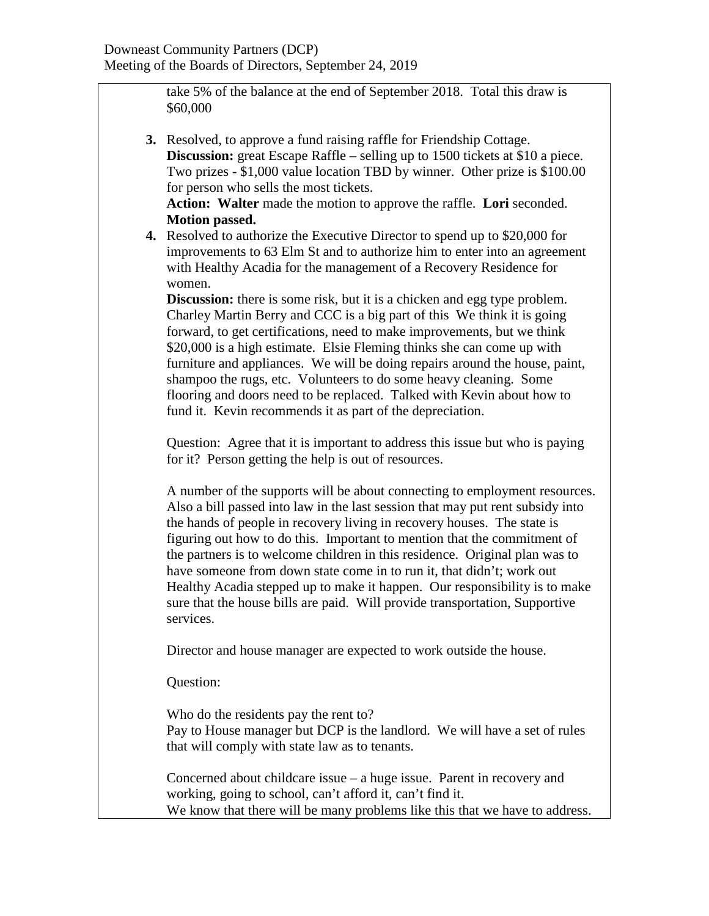take 5% of the balance at the end of September 2018. Total this draw is \$60,000

**3.** Resolved, to approve a fund raising raffle for Friendship Cottage. **Discussion:** great Escape Raffle – selling up to 1500 tickets at \$10 a piece. Two prizes - \$1,000 value location TBD by winner. Other prize is \$100.00 for person who sells the most tickets.

**Action: Walter** made the motion to approve the raffle. **Lori** seconded. **Motion passed.**

**4.** Resolved to authorize the Executive Director to spend up to \$20,000 for improvements to 63 Elm St and to authorize him to enter into an agreement with Healthy Acadia for the management of a Recovery Residence for women.

**Discussion:** there is some risk, but it is a chicken and egg type problem. Charley Martin Berry and CCC is a big part of this We think it is going forward, to get certifications, need to make improvements, but we think \$20,000 is a high estimate. Elsie Fleming thinks she can come up with furniture and appliances. We will be doing repairs around the house, paint, shampoo the rugs, etc. Volunteers to do some heavy cleaning. Some flooring and doors need to be replaced. Talked with Kevin about how to fund it. Kevin recommends it as part of the depreciation.

Question: Agree that it is important to address this issue but who is paying for it? Person getting the help is out of resources.

A number of the supports will be about connecting to employment resources. Also a bill passed into law in the last session that may put rent subsidy into the hands of people in recovery living in recovery houses. The state is figuring out how to do this. Important to mention that the commitment of the partners is to welcome children in this residence. Original plan was to have someone from down state come in to run it, that didn't; work out Healthy Acadia stepped up to make it happen. Our responsibility is to make sure that the house bills are paid. Will provide transportation, Supportive services.

Director and house manager are expected to work outside the house.

Question:

Who do the residents pay the rent to? Pay to House manager but DCP is the landlord. We will have a set of rules that will comply with state law as to tenants.

Concerned about childcare issue – a huge issue. Parent in recovery and working, going to school, can't afford it, can't find it. We know that there will be many problems like this that we have to address.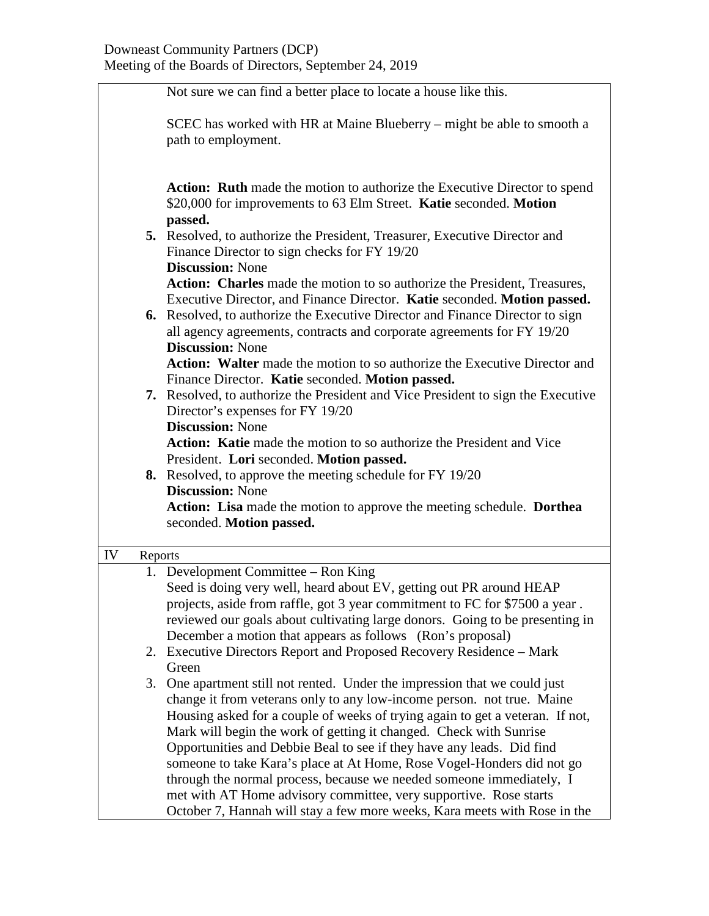|               | Not sure we can find a better place to locate a house like this.                                                                                                                                                                                                                                                                                                                                                                                                                                                                                                                                                                                                                            |  |  |
|---------------|---------------------------------------------------------------------------------------------------------------------------------------------------------------------------------------------------------------------------------------------------------------------------------------------------------------------------------------------------------------------------------------------------------------------------------------------------------------------------------------------------------------------------------------------------------------------------------------------------------------------------------------------------------------------------------------------|--|--|
|               | SCEC has worked with HR at Maine Blueberry – might be able to smooth a<br>path to employment.                                                                                                                                                                                                                                                                                                                                                                                                                                                                                                                                                                                               |  |  |
|               | <b>Action:</b> Ruth made the motion to authorize the Executive Director to spend<br>\$20,000 for improvements to 63 Elm Street. Katie seconded. Motion<br>passed.                                                                                                                                                                                                                                                                                                                                                                                                                                                                                                                           |  |  |
|               | 5. Resolved, to authorize the President, Treasurer, Executive Director and<br>Finance Director to sign checks for FY 19/20                                                                                                                                                                                                                                                                                                                                                                                                                                                                                                                                                                  |  |  |
|               | <b>Discussion: None</b><br>Action: Charles made the motion to so authorize the President, Treasures,<br>Executive Director, and Finance Director. Katie seconded. Motion passed.                                                                                                                                                                                                                                                                                                                                                                                                                                                                                                            |  |  |
|               | 6. Resolved, to authorize the Executive Director and Finance Director to sign<br>all agency agreements, contracts and corporate agreements for FY 19/20<br><b>Discussion: None</b>                                                                                                                                                                                                                                                                                                                                                                                                                                                                                                          |  |  |
|               | <b>Action:</b> Walter made the motion to so authorize the Executive Director and<br>Finance Director. Katie seconded. Motion passed.                                                                                                                                                                                                                                                                                                                                                                                                                                                                                                                                                        |  |  |
|               | 7. Resolved, to authorize the President and Vice President to sign the Executive<br>Director's expenses for FY 19/20                                                                                                                                                                                                                                                                                                                                                                                                                                                                                                                                                                        |  |  |
|               | <b>Discussion: None</b><br>Action: Katie made the motion to so authorize the President and Vice                                                                                                                                                                                                                                                                                                                                                                                                                                                                                                                                                                                             |  |  |
|               | President. Lori seconded. Motion passed.<br>8. Resolved, to approve the meeting schedule for FY 19/20                                                                                                                                                                                                                                                                                                                                                                                                                                                                                                                                                                                       |  |  |
|               | <b>Discussion: None</b><br>Action: Lisa made the motion to approve the meeting schedule. Dorthea<br>seconded. Motion passed.                                                                                                                                                                                                                                                                                                                                                                                                                                                                                                                                                                |  |  |
| IV<br>Reports |                                                                                                                                                                                                                                                                                                                                                                                                                                                                                                                                                                                                                                                                                             |  |  |
|               | 1. Development Committee – Ron King                                                                                                                                                                                                                                                                                                                                                                                                                                                                                                                                                                                                                                                         |  |  |
|               | Seed is doing very well, heard about EV, getting out PR around HEAP<br>projects, aside from raffle, got 3 year commitment to FC for \$7500 a year.<br>reviewed our goals about cultivating large donors. Going to be presenting in<br>December a motion that appears as follows (Ron's proposal)                                                                                                                                                                                                                                                                                                                                                                                            |  |  |
|               | 2. Executive Directors Report and Proposed Recovery Residence – Mark<br>Green                                                                                                                                                                                                                                                                                                                                                                                                                                                                                                                                                                                                               |  |  |
|               | One apartment still not rented. Under the impression that we could just<br>3.<br>change it from veterans only to any low-income person. not true. Maine<br>Housing asked for a couple of weeks of trying again to get a veteran. If not,<br>Mark will begin the work of getting it changed. Check with Sunrise<br>Opportunities and Debbie Beal to see if they have any leads. Did find<br>someone to take Kara's place at At Home, Rose Vogel-Honders did not go<br>through the normal process, because we needed someone immediately, I<br>met with AT Home advisory committee, very supportive. Rose starts<br>October 7, Hannah will stay a few more weeks, Kara meets with Rose in the |  |  |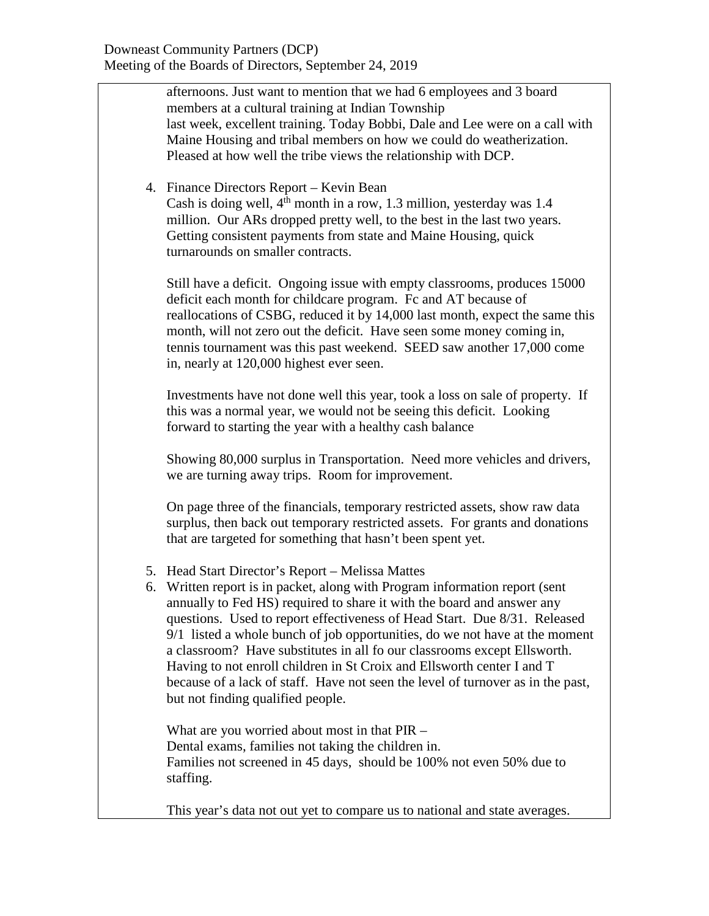afternoons. Just want to mention that we had 6 employees and 3 board members at a cultural training at Indian Township last week, excellent training. Today Bobbi, Dale and Lee were on a call with Maine Housing and tribal members on how we could do weatherization. Pleased at how well the tribe views the relationship with DCP.

4. Finance Directors Report – Kevin Bean Cash is doing well,  $4<sup>th</sup>$  month in a row, 1.3 million, yesterday was 1.4 million. Our ARs dropped pretty well, to the best in the last two years. Getting consistent payments from state and Maine Housing, quick turnarounds on smaller contracts.

Still have a deficit. Ongoing issue with empty classrooms, produces 15000 deficit each month for childcare program. Fc and AT because of reallocations of CSBG, reduced it by 14,000 last month, expect the same this month, will not zero out the deficit. Have seen some money coming in, tennis tournament was this past weekend. SEED saw another 17,000 come in, nearly at 120,000 highest ever seen.

Investments have not done well this year, took a loss on sale of property. If this was a normal year, we would not be seeing this deficit. Looking forward to starting the year with a healthy cash balance

Showing 80,000 surplus in Transportation. Need more vehicles and drivers, we are turning away trips. Room for improvement.

On page three of the financials, temporary restricted assets, show raw data surplus, then back out temporary restricted assets. For grants and donations that are targeted for something that hasn't been spent yet.

- 5. Head Start Director's Report Melissa Mattes
- 6. Written report is in packet, along with Program information report (sent annually to Fed HS) required to share it with the board and answer any questions. Used to report effectiveness of Head Start. Due 8/31. Released 9/1 listed a whole bunch of job opportunities, do we not have at the moment a classroom? Have substitutes in all fo our classrooms except Ellsworth. Having to not enroll children in St Croix and Ellsworth center I and T because of a lack of staff. Have not seen the level of turnover as in the past, but not finding qualified people.

What are you worried about most in that PIR – Dental exams, families not taking the children in. Families not screened in 45 days, should be 100% not even 50% due to staffing.

This year's data not out yet to compare us to national and state averages.